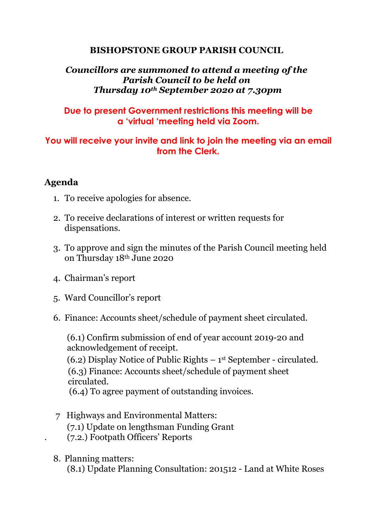## **BISHOPSTONE GROUP PARISH COUNCIL**

### *Councillors are summoned to attend a meeting of the Parish Council to be held on Thursday 10th September 2020 at 7.30pm*

## **Due to present Government restrictions this meeting will be a 'virtual 'meeting held via Zoom.**

# **You will receive your invite and link to join the meeting via an email from the Clerk.**

# **Agenda**

- 1. To receive apologies for absence.
- 2. To receive declarations of interest or written requests for dispensations.
- 3. To approve and sign the minutes of the Parish Council meeting held on Thursday 18th June 2020
- 4. Chairman's report
- 5. Ward Councillor's report
- 6. Finance: Accounts sheet/schedule of payment sheet circulated.

(6.1) Confirm submission of end of year account 2019-20 and acknowledgement of receipt. (6.2) Display Notice of Public Rights – 1 st September - circulated. (6.3) Finance: Accounts sheet/schedule of payment sheet circulated. (6.4) To agree payment of outstanding invoices.

- 7 Highways and Environmental Matters: (7.1) Update on lengthsman Funding Grant . (7.2.) Footpath Officers' Reports
- 8. Planning matters: (8.1) Update Planning Consultation: 201512 - Land at White Roses